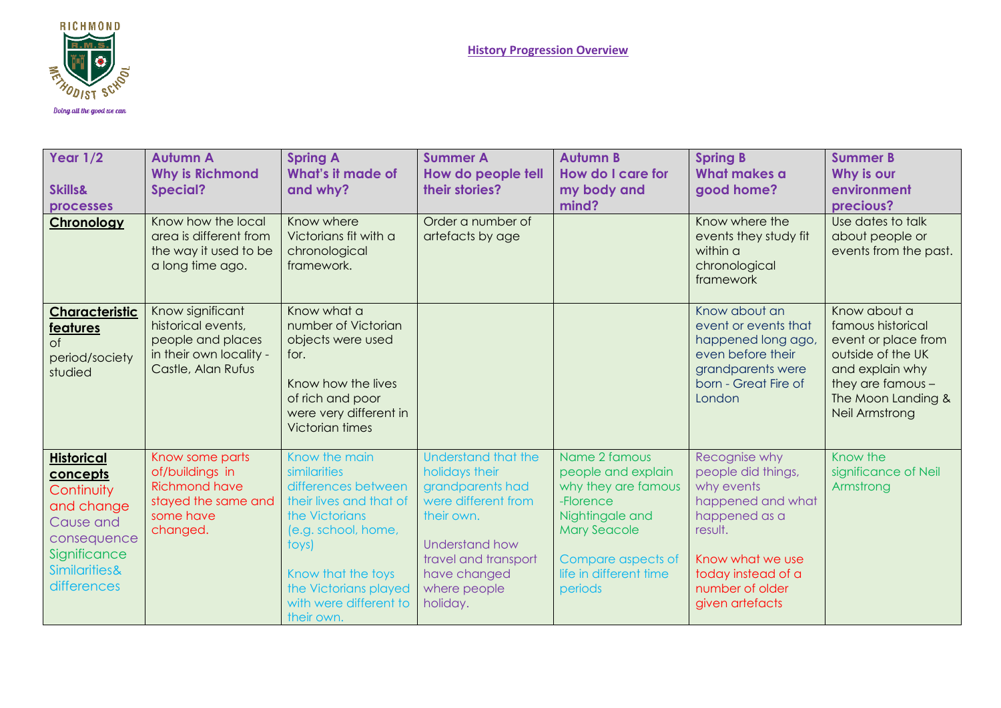

| Year $1/2$<br><b>Skills&amp;</b><br>processes                                                                                         | <b>Autumn A</b><br><b>Why is Richmond</b><br><b>Special?</b>                                                 | <b>Spring A</b><br>What's it made of<br>and why?                                                                                                                                                                         | <b>Summer A</b><br>How do people tell<br>their stories?                                                                                                                              | <b>Autumn B</b><br>How do I care for<br>my body and<br>mind?                                                                                                                 | <b>Spring B</b><br>What makes a<br>good home?                                                                                                                                      | <b>Summer B</b><br>Why is our<br>environment<br>precious?                                                                                                     |
|---------------------------------------------------------------------------------------------------------------------------------------|--------------------------------------------------------------------------------------------------------------|--------------------------------------------------------------------------------------------------------------------------------------------------------------------------------------------------------------------------|--------------------------------------------------------------------------------------------------------------------------------------------------------------------------------------|------------------------------------------------------------------------------------------------------------------------------------------------------------------------------|------------------------------------------------------------------------------------------------------------------------------------------------------------------------------------|---------------------------------------------------------------------------------------------------------------------------------------------------------------|
| <b>Chronology</b>                                                                                                                     | Know how the local<br>area is different from<br>the way it used to be<br>a long time ago.                    | Know where<br>Victorians fit with a<br>chronological<br>framework.                                                                                                                                                       | Order a number of<br>artefacts by age                                                                                                                                                |                                                                                                                                                                              | Know where the<br>events they study fit<br>within a<br>chronological<br>framework                                                                                                  | Use dates to talk<br>about people or<br>events from the past.                                                                                                 |
| <b>Characteristic</b><br><b>features</b><br>$\circ$ f<br>period/society<br>studied                                                    | Know significant<br>historical events,<br>people and places<br>in their own locality -<br>Castle, Alan Rufus | Know what a<br>number of Victorian<br>objects were used<br>for.<br>Know how the lives<br>of rich and poor<br>were very different in<br><b>Victorian times</b>                                                            |                                                                                                                                                                                      |                                                                                                                                                                              | Know about an<br>event or events that<br>happened long ago,<br>even before their<br>grandparents were<br>born - Great Fire of<br>London                                            | Know about a<br>famous historical<br>event or place from<br>outside of the UK<br>and explain why<br>they are famous -<br>The Moon Landing &<br>Neil Armstrong |
| <b>Historical</b><br>concepts<br>Continuity<br>and change<br>Cause and<br>consequence<br>Significance<br>Similarities&<br>differences | Know some parts<br>of/buildings in<br><b>Richmond have</b><br>stayed the same and<br>some have<br>changed.   | Know the main<br>similarities<br>differences between<br>their lives and that of<br>the Victorians<br>(e.g. school, home,<br>toys)<br>Know that the toys<br>the Victorians played<br>with were different to<br>their own. | Understand that the<br>holidays their<br>grandparents had<br>were different from<br>their own.<br>Understand how<br>travel and transport<br>have changed<br>where people<br>holiday. | Name 2 famous<br>people and explain<br>why they are famous<br>-Florence<br>Nightingale and<br><b>Mary Seacole</b><br>Compare aspects of<br>life in different time<br>periods | Recognise why<br>people did things,<br>why events<br>happened and what<br>happened as a<br>result.<br>Know what we use<br>today instead of a<br>number of older<br>given artefacts | Know the<br>significance of Neil<br>Armstrong                                                                                                                 |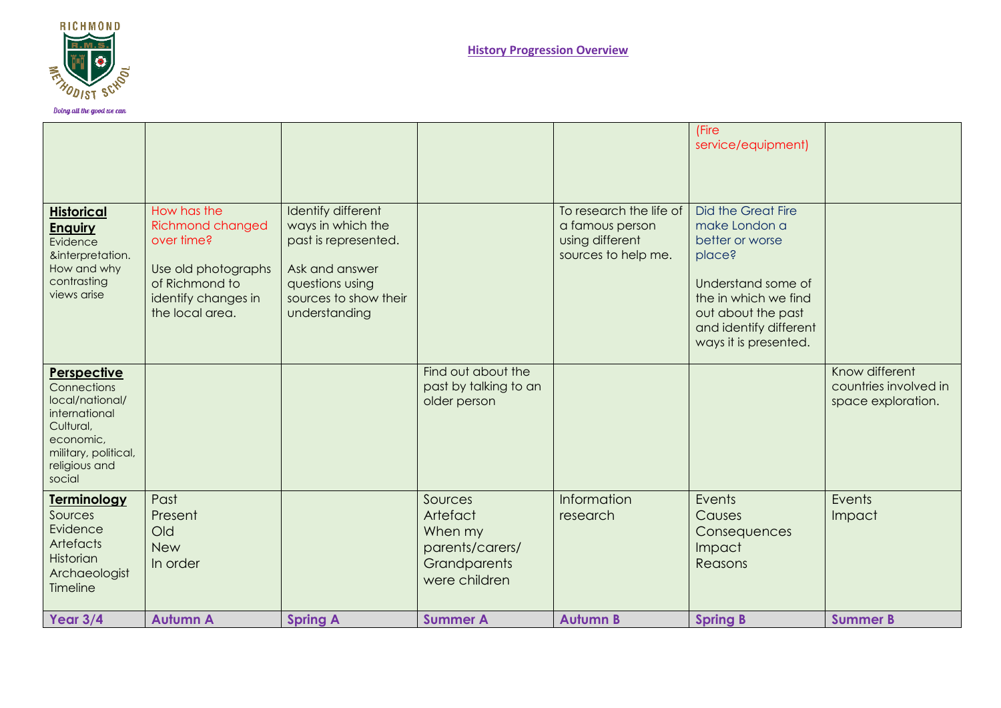

|                                                                                                                                             |                                                                                                                                         |                                                                                                                                                |                                                                                           |                                                                                      | (Fire<br>service/equipment)                                                                                                                                                                    |                                                               |
|---------------------------------------------------------------------------------------------------------------------------------------------|-----------------------------------------------------------------------------------------------------------------------------------------|------------------------------------------------------------------------------------------------------------------------------------------------|-------------------------------------------------------------------------------------------|--------------------------------------------------------------------------------------|------------------------------------------------------------------------------------------------------------------------------------------------------------------------------------------------|---------------------------------------------------------------|
| <b>Historical</b><br><b>Enguiry</b><br>Evidence<br>&interpretation.<br>How and why<br>contrasting<br>views arise                            | How has the<br><b>Richmond changed</b><br>over time?<br>Use old photographs<br>of Richmond to<br>identify changes in<br>the local area. | Identify different<br>ways in which the<br>past is represented.<br>Ask and answer<br>questions using<br>sources to show their<br>understanding |                                                                                           | To research the life of<br>a famous person<br>using different<br>sources to help me. | <b>Did the Great Fire</b><br>make London a<br>better or worse<br>place?<br>Understand some of<br>the in which we find<br>out about the past<br>and identify different<br>ways it is presented. |                                                               |
| Perspective<br>Connections<br>local/national/<br>international<br>Cultural,<br>economic,<br>military, political,<br>religious and<br>social |                                                                                                                                         |                                                                                                                                                | Find out about the<br>past by talking to an<br>older person                               |                                                                                      |                                                                                                                                                                                                | Know different<br>countries involved in<br>space exploration. |
| <b>Terminology</b><br>Sources<br>Evidence<br>Artefacts<br>Historian<br>Archaeologist<br>Timeline                                            | Past<br>Present<br>Old<br><b>New</b><br>In order                                                                                        |                                                                                                                                                | Sources<br>Artefact<br>When my<br>parents/carers/<br><b>Grandparents</b><br>were children | Information<br>research                                                              | Events<br>Causes<br>Consequences<br>Impact<br>Reasons                                                                                                                                          | Events<br>Impact                                              |
| Year 3/4                                                                                                                                    | <b>Autumn A</b>                                                                                                                         | <b>Spring A</b>                                                                                                                                | <b>Summer A</b>                                                                           | <b>Autumn B</b>                                                                      | <b>Spring B</b>                                                                                                                                                                                | <b>Summer B</b>                                               |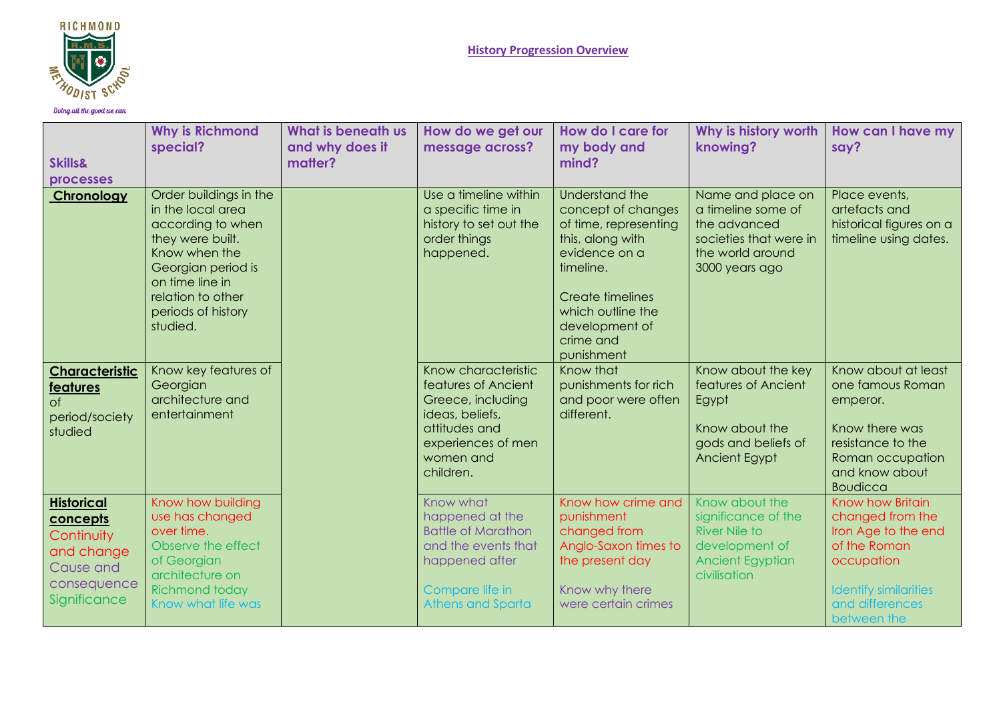

Doing all the good we can

| <b>Skills&amp;</b><br>processes                                                                       | <b>Why is Richmond</b><br>special?                                                                                                                                                                    | <b>What is beneath us</b><br>and why does it<br>matter? | How do we get our<br>message across?                                                                                                                | How do I care for<br>my body and<br>mind?                                                                                                                                                                    | Why is history worth<br>knowing?                                                                                           | How can I have my<br>say?                                                                                                                                   |
|-------------------------------------------------------------------------------------------------------|-------------------------------------------------------------------------------------------------------------------------------------------------------------------------------------------------------|---------------------------------------------------------|-----------------------------------------------------------------------------------------------------------------------------------------------------|--------------------------------------------------------------------------------------------------------------------------------------------------------------------------------------------------------------|----------------------------------------------------------------------------------------------------------------------------|-------------------------------------------------------------------------------------------------------------------------------------------------------------|
| Chronology                                                                                            | Order buildings in the<br>in the local area<br>according to when<br>they were built.<br>Know when the<br>Georgian period is<br>on time line in<br>relation to other<br>periods of history<br>studied. |                                                         | Use a timeline within<br>a specific time in<br>history to set out the<br>order things<br>happened.                                                  | Understand the<br>concept of changes<br>of time, representing<br>this, along with<br>evidence on a<br>timeline.<br><b>Create timelines</b><br>which outline the<br>development of<br>crime and<br>punishment | Name and place on<br>a timeline some of<br>the advanced<br>societies that were in<br>the world around<br>3000 years ago    | Place events,<br>artefacts and<br>historical figures on a<br>timeline using dates.                                                                          |
| <b>Characteristic</b><br><b>features</b><br>$\circ$ f<br>period/society<br>studied                    | Know key features of<br>Georgian<br>architecture and<br>entertainment                                                                                                                                 |                                                         | Know characteristic<br>features of Ancient<br>Greece, including<br>ideas, beliefs,<br>attitudes and<br>experiences of men<br>women and<br>children. | Know that<br>punishments for rich<br>and poor were often<br>different.                                                                                                                                       | Know about the key<br>features of Ancient<br>Egypt<br>Know about the<br>gods and beliefs of<br>Ancient Egypt               | Know about at least<br>one famous Roman<br>emperor.<br>Know there was<br>resistance to the<br>Roman occupation<br>and know about<br><b>Boudicca</b>         |
| <b>Historical</b><br>concepts<br>Continuity<br>and change<br>Cause and<br>consequence<br>Significance | Know how building<br>use has changed<br>over time.<br>Observe the effect<br>of Georgian<br>architecture on<br><b>Richmond today</b><br>Know what life was                                             |                                                         | Know what<br>happened at the<br><b>Battle of Marathon</b><br>and the events that<br>happened after<br>Compare life in<br><b>Athens and Sparta</b>   | Know how crime and<br>punishment<br>changed from<br>Anglo-Saxon times to<br>the present day<br>Know why there<br>were certain crimes                                                                         | Know about the<br>significance of the<br><b>River Nile to</b><br>development of<br><b>Ancient Egyptian</b><br>civilisation | Know how Britain<br>changed from the<br>Iron Age to the end<br>of the Roman<br>occupation<br><b>Identify similarities</b><br>and differences<br>between the |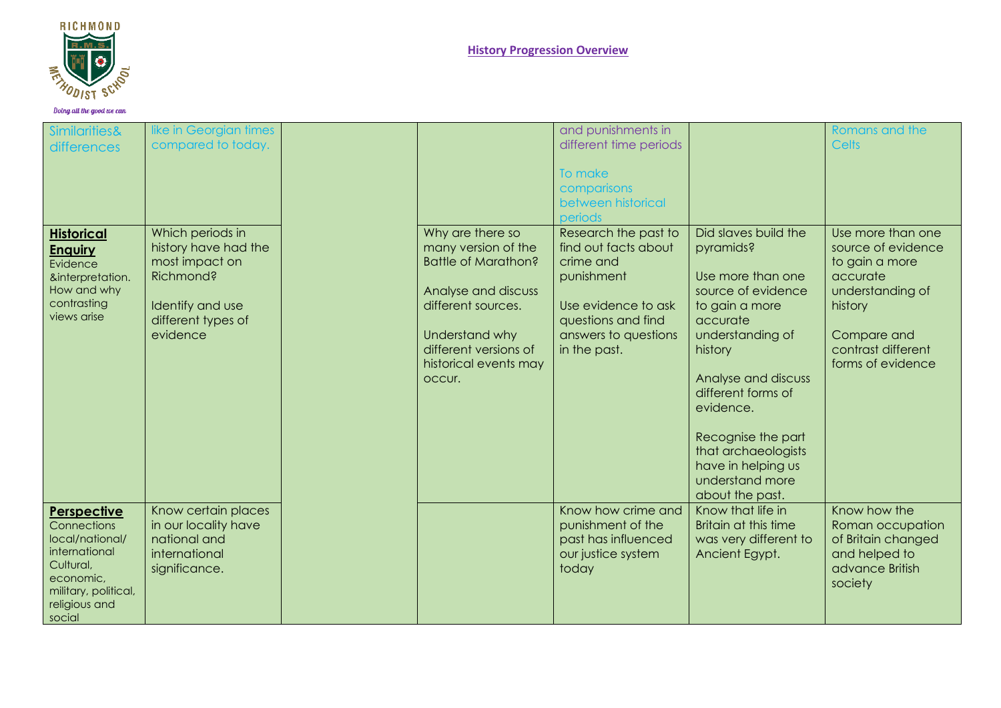

**History Progression Overview**

| <b>Similarities&amp;</b><br>differences                                                                                                     | like in Georgian times<br>compared to today.                                                                                  |                                                                                                                                                                                                  | and punishments in<br>different time periods<br>To make<br>comparisons<br>between historical<br>periods                                                      |                                                                                                                                                                                                                                                                                                              | Romans and the<br><b>Celts</b>                                                                                                                                 |
|---------------------------------------------------------------------------------------------------------------------------------------------|-------------------------------------------------------------------------------------------------------------------------------|--------------------------------------------------------------------------------------------------------------------------------------------------------------------------------------------------|--------------------------------------------------------------------------------------------------------------------------------------------------------------|--------------------------------------------------------------------------------------------------------------------------------------------------------------------------------------------------------------------------------------------------------------------------------------------------------------|----------------------------------------------------------------------------------------------------------------------------------------------------------------|
| <b>Historical</b><br><b>Enguiry</b><br>Evidence<br>&interpretation.<br>How and why<br>contrasting<br>views arise                            | Which periods in<br>history have had the<br>most impact on<br>Richmond?<br>Identify and use<br>different types of<br>evidence | Why are there so<br>many version of the<br><b>Battle of Marathon?</b><br>Analyse and discuss<br>different sources.<br>Understand why<br>different versions of<br>historical events may<br>occur. | Research the past to<br>find out facts about<br>crime and<br>punishment<br>Use evidence to ask<br>questions and find<br>answers to questions<br>in the past. | Did slaves build the<br>pyramids?<br>Use more than one<br>source of evidence<br>to gain a more<br>accurate<br>understanding of<br>history<br>Analyse and discuss<br>different forms of<br>evidence.<br>Recognise the part<br>that archaeologists<br>have in helping us<br>understand more<br>about the past. | Use more than one<br>source of evidence<br>to gain a more<br>accurate<br>understanding of<br>history<br>Compare and<br>contrast different<br>forms of evidence |
| Perspective<br>Connections<br>local/national/<br>international<br>Cultural,<br>economic,<br>military, political,<br>religious and<br>social | Know certain places<br>in our locality have<br>national and<br>international<br>significance.                                 |                                                                                                                                                                                                  | Know how crime and<br>punishment of the<br>past has influenced<br>our justice system<br>today                                                                | Know that life in<br>Britain at this time<br>was very different to<br>Ancient Egypt.                                                                                                                                                                                                                         | Know how the<br>Roman occupation<br>of Britain changed<br>and helped to<br>advance British<br>society                                                          |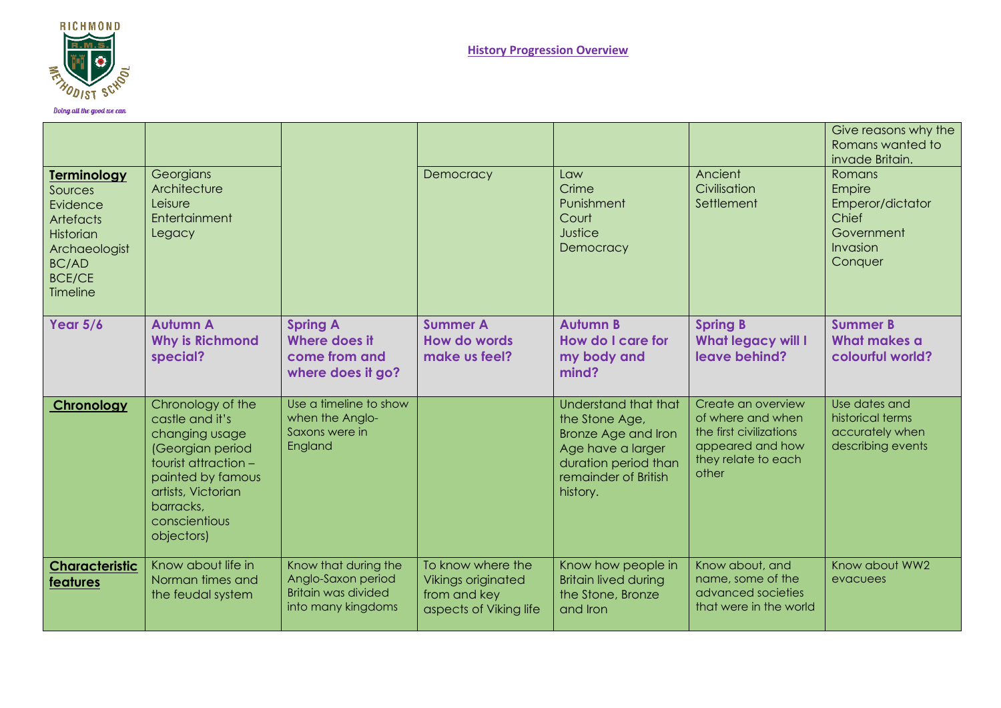

Doing all the good we can

|                                                                                                                                          |                                                                                                                                                                                           |                                                                                         |                                                                                          |                                                                                                                                                       |                                                                                                                        | Give reasons why the<br>Romans wanted to<br>invade Britain.                               |
|------------------------------------------------------------------------------------------------------------------------------------------|-------------------------------------------------------------------------------------------------------------------------------------------------------------------------------------------|-----------------------------------------------------------------------------------------|------------------------------------------------------------------------------------------|-------------------------------------------------------------------------------------------------------------------------------------------------------|------------------------------------------------------------------------------------------------------------------------|-------------------------------------------------------------------------------------------|
| <b>Terminology</b><br>Sources<br>Evidence<br><b>Artefacts</b><br>Historian<br>Archaeologist<br><b>BC/AD</b><br><b>BCE/CE</b><br>Timeline | Georgians<br>Architecture<br>Leisure<br>Entertainment<br>Legacy                                                                                                                           |                                                                                         | Democracy                                                                                | $1$ $\alpha$<br>Crime<br>Punishment<br>Court<br>Justice<br>Democracy                                                                                  | Ancient<br>Civilisation<br>Settlement                                                                                  | <b>Romans</b><br>Empire<br>Emperor/dictator<br>Chief<br>Government<br>Invasion<br>Conquer |
| Year $5/6$                                                                                                                               | <b>Autumn A</b><br><b>Why is Richmond</b><br>special?                                                                                                                                     | <b>Spring A</b><br>Where does it<br>come from and<br>where does it go?                  | <b>Summer A</b><br>How do words<br>make us feel?                                         | <b>Autumn B</b><br>How do I care for<br>my body and<br>mind?                                                                                          | <b>Spring B</b><br><b>What legacy will I</b><br>leave behind?                                                          | <b>Summer B</b><br>What makes a<br>colourful world?                                       |
| Chronology                                                                                                                               | Chronology of the<br>castle and it's<br>changing usage<br>(Georgian period<br>tourist attraction -<br>painted by famous<br>artists, Victorian<br>barracks,<br>conscientious<br>objectors) | Use a timeline to show<br>when the Anglo-<br>Saxons were in<br>England                  |                                                                                          | Understand that that<br>the Stone Age,<br><b>Bronze Age and Iron</b><br>Age have a larger<br>duration period than<br>remainder of British<br>history. | Create an overview<br>of where and when<br>the first civilizations<br>appeared and how<br>they relate to each<br>other | Use dates and<br>historical terms<br>accurately when<br>describing events                 |
| <b>Characteristic</b><br>features                                                                                                        | Know about life in<br>Norman times and<br>the feudal system                                                                                                                               | Know that during the<br>Anglo-Saxon period<br>Britain was divided<br>into many kingdoms | To know where the<br><b>Vikings originated</b><br>from and key<br>aspects of Viking life | Know how people in<br><b>Britain lived during</b><br>the Stone, Bronze<br>and <i>Iron</i>                                                             | Know about, and<br>name, some of the<br>advanced societies<br>that were in the world                                   | Know about WW2<br>evacuees                                                                |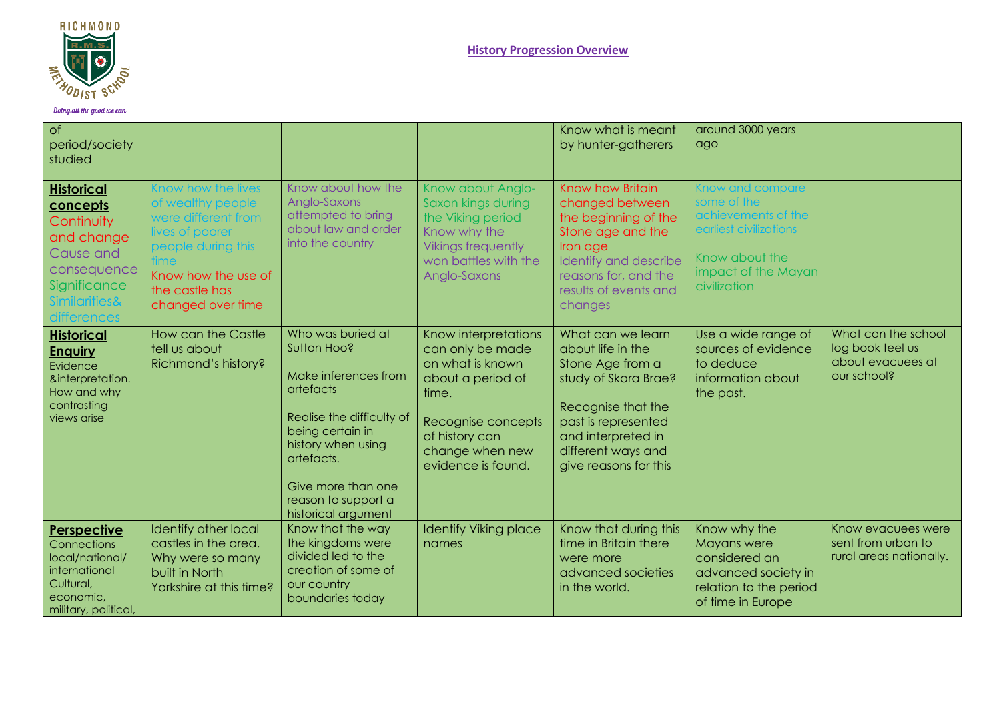

| of<br>period/society<br>studied                                                                                                                  |                                                                                                                                                                              |                                                                                                                                                                                                                                |                                                                                                                                                                             | Know what is meant<br>by hunter-gatherers                                                                                                                                                            | around 3000 years<br>ago                                                                                                                  |                                                                             |
|--------------------------------------------------------------------------------------------------------------------------------------------------|------------------------------------------------------------------------------------------------------------------------------------------------------------------------------|--------------------------------------------------------------------------------------------------------------------------------------------------------------------------------------------------------------------------------|-----------------------------------------------------------------------------------------------------------------------------------------------------------------------------|------------------------------------------------------------------------------------------------------------------------------------------------------------------------------------------------------|-------------------------------------------------------------------------------------------------------------------------------------------|-----------------------------------------------------------------------------|
| <b>Historical</b><br>concepts<br>Continuity<br>and change<br>Cause and<br>consequence<br>Significance<br><b>Similarities&amp;</b><br>differences | <b>Show how the lives</b><br>of wealthy people<br>were different from<br>lives of poorer<br>people during this<br>Know how the use of<br>the castle has<br>changed over time | Know about how the<br>Anglo-Saxons<br>attempted to bring<br>about law and order<br>into the country                                                                                                                            | Know about Anglo-<br>Saxon kings during<br>the Viking period<br>Know why the<br><b>Vikings frequently</b><br>won battles with the<br>Anglo-Saxons                           | Know how Britain<br>changed between<br>the beginning of the<br>Stone age and the<br>Iron age<br>Identify and describe<br>reasons for, and the<br>results of events and<br>changes                    | Know and compare<br>some of the<br>achievements of the<br>earliest civilizations<br>Know about the<br>impact of the Mayan<br>civilization |                                                                             |
| <b>Historical</b><br><u>Enquiry</u><br>Evidence<br>&interpretation.<br>How and why<br>contrasting<br>views arise                                 | How can the Castle<br>tell us about<br>Richmond's history?                                                                                                                   | Who was buried at<br>Sutton Hoo?<br>Make inferences from<br>artefacts<br>Realise the difficulty of<br>being certain in<br>history when using<br>artefacts.<br>Give more than one<br>reason to support a<br>historical argument | Know interpretations<br>can only be made<br>on what is known<br>about a period of<br>time.<br>Recognise concepts<br>of history can<br>change when new<br>evidence is found. | What can we learn<br>about life in the<br>Stone Age from a<br>study of Skara Brae?<br>Recognise that the<br>past is represented<br>and interpreted in<br>different ways and<br>give reasons for this | Use a wide range of<br>sources of evidence<br>to deduce<br>information about<br>the past.                                                 | What can the school<br>log book teel us<br>about evacuees at<br>our school? |
| Perspective<br><b>Connections</b><br>local/national/<br>international<br>Cultural,<br>economic,<br>military, political,                          | <b>Identify other local</b><br>castles in the area.<br>Why were so many<br>built in North<br>Yorkshire at this time?                                                         | Know that the way<br>the kingdoms were<br>divided led to the<br>creation of some of<br>our country<br>boundaries today                                                                                                         | <b>Identify Viking place</b><br>names                                                                                                                                       | Know that during this<br>time in Britain there<br>were more<br>advanced societies<br>in the world.                                                                                                   | Know why the<br>Mayans were<br>considered an<br>advanced society in<br>relation to the period<br>of time in Europe                        | Know evacuees were<br>sent from urban to<br>rural areas nationally.         |

Doing all the good we can